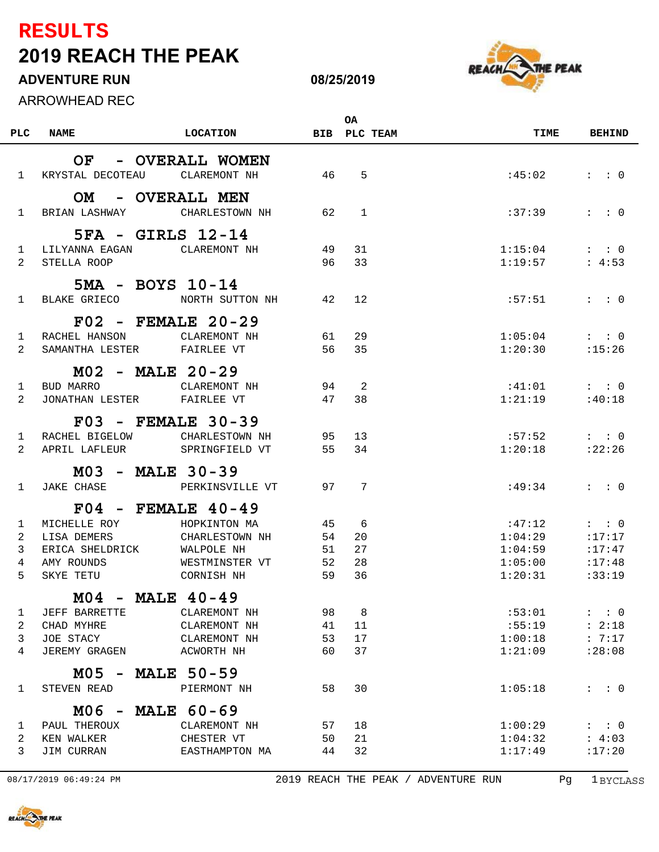## **2019 REACH THE PEAK RESULTS**

## **ADVENTURE RUN**

ARROWHEAD REC



**08/25/2019**

|                |                            |                           |    | <b>OA</b>      |         |                       |
|----------------|----------------------------|---------------------------|----|----------------|---------|-----------------------|
| PLC            | <b>NAME</b>                | <b>LOCATION</b>           |    | BIB PLC TEAM   | TIME    | <b>BEHIND</b>         |
|                | OF                         | - OVERALL WOMEN           |    |                |         |                       |
|                |                            |                           |    |                |         |                       |
| $\mathbf{1}$   | KRYSTAL DECOTEAU           | CLAREMONT NH              | 46 | 5              | :45:02  | $:$ $:$ 0             |
|                | <b>OM</b>                  | - OVERALL MEN             |    |                |         |                       |
| $\mathbf{1}$   | BRIAN LASHWAY              | CHARLESTOWN NH            | 62 | $\overline{1}$ | :37:39  | $\colon$ $\colon$ 0   |
|                |                            |                           |    |                |         |                       |
|                |                            | 5FA - GIRLS 12-14         |    |                |         |                       |
| $\mathbf{1}$   | LILYANNA EAGAN             | CLAREMONT NH              | 49 | 31             | 1:15:04 | $\cdot \cdot \cdot 0$ |
| $\overline{2}$ | STELLA ROOP                |                           | 96 | 33             | 1:19:57 | : 4:53                |
|                |                            | 5MA - BOYS 10-14          |    |                |         |                       |
| $\mathbf{1}$   | BLAKE GRIECO               | NORTH SUTTON NH           | 42 | 12             | :57:51  | $\colon$ $\colon$ 0   |
|                |                            | $F02$ - FEMALE 20-29      |    |                |         |                       |
| $\mathbf{1}$   | RACHEL HANSON              | CLAREMONT NH              | 61 | 29             | 1:05:04 | : 0                   |
| $\overline{2}$ | SAMANTHA LESTER FAIRLEE VT |                           | 56 | 35             | 1:20:30 | :15:26                |
|                |                            |                           |    |                |         |                       |
|                |                            | M02 - MALE 20-29          |    |                |         |                       |
| $\mathbf{1}$   | BUD MARRO                  | CLAREMONT NH              | 94 | 2              | :41:01  | $:$ $:$ 0             |
| 2              | JONATHAN LESTER FAIRLEE VT |                           | 47 | 38             | 1:21:19 | :40:18                |
|                |                            | <b>F03 - FEMALE 30-39</b> |    |                |         |                       |
| 1              | RACHEL BIGELOW             | CHARLESTOWN NH            | 95 | 13             | :57:52  | $\colon$ $\colon$ 0   |
| 2              | APRIL LAFLEUR              | SPRINGFIELD VT            | 55 | 34             | 1:20:18 | : 22:26               |
|                |                            |                           |    |                |         |                       |
|                |                            | M03 - MALE 30-39          |    |                |         |                       |
| $\mathbf{1}$   | <b>JAKE CHASE</b>          | PERKINSVILLE VT           |    | 97 7           | :49:34  | $\colon$ $\colon$ 0   |
|                |                            | $F04$ - FEMALE 40-49      |    |                |         |                       |
| $\mathbf{1}$   | MICHELLE ROY               | HOPKINTON MA              | 45 | 6              | :47:12  | $:$ $:$ 0             |
| 2              | LISA DEMERS                | CHARLESTOWN NH            | 54 | 20             | 1:04:29 | :17:17                |
| 3              | ERICA SHELDRICK            | WALPOLE NH                | 51 | 27             | 1:04:59 | : 17:47               |
| 4              | AMY ROUNDS                 | WESTMINSTER VT            | 52 | 28             | 1:05:00 | :17:48                |
| 5              | SKYE TETU                  | CORNISH NH                | 59 | 36             | 1:20:31 | :33:19                |
|                |                            | $MO4$ - MALE 40-49        |    |                |         |                       |
| 1              | JEFF BARRETTE              | CLAREMONT NH              | 98 | 8              | :53:01  | $:$ $:$ 0             |
| 2              | CHAD MYHRE                 | CLAREMONT NH              | 41 | 11             | :55:19  | : 2:18                |
| 3              | JOE STACY                  | CLAREMONT NH              | 53 | 17             | 1:00:18 | : 7:17                |
| 4              | <b>JEREMY GRAGEN</b>       | ACWORTH NH                | 60 | 37             | 1:21:09 | : 28:08               |
|                |                            |                           |    |                |         |                       |
|                |                            | M05 - MALE 50-59          |    |                |         |                       |
| $\mathbf{1}$   | STEVEN READ                | PIERMONT NH               | 58 | 30             | 1:05:18 | $:$ $:$ 0             |
|                |                            | M06 - MALE 60-69          |    |                |         |                       |
| 1              | PAUL THEROUX               | CLAREMONT NH              | 57 | 18             | 1:00:29 | $:$ : 0               |
| 2              | KEN WALKER                 | CHESTER VT                | 50 | 21             | 1:04:32 | : 4:03                |
| 3              | JIM CURRAN                 | EASTHAMPTON MA            | 44 | 32             | 1:17:49 | :17:20                |

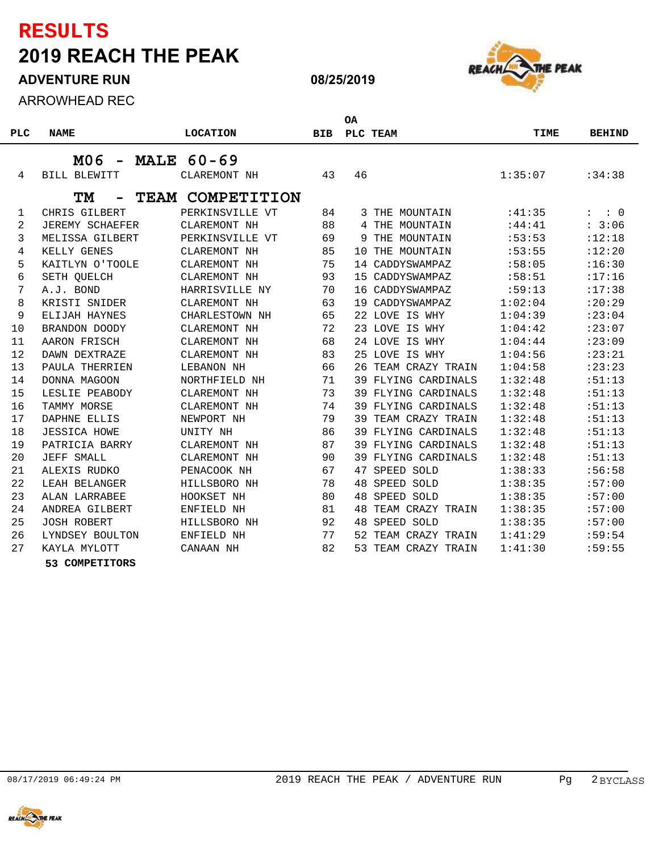## **2019 REACH THE PEAK RESULTS**

**ADVENTURE RUN**

**ARR** 

|            | <b>ARROWHEAD REC</b> |                   |            |           |                     |             |               |
|------------|----------------------|-------------------|------------|-----------|---------------------|-------------|---------------|
|            |                      |                   |            | <b>OA</b> |                     |             |               |
| <b>PLC</b> | <b>NAME</b>          | <b>LOCATION</b>   | <b>BIB</b> | PLC TEAM  |                     | <b>TIME</b> | <b>BEHIND</b> |
|            | M06                  | <b>MALE 60-69</b> |            |           |                     |             |               |
| 4          | <b>BILL BLEWITT</b>  | CLAREMONT NH      | 43         | 46        |                     | 1:35:07     | :34:38        |
|            | TМ                   | TEAM COMPETITION  |            |           |                     |             |               |
| 1          | CHRIS GILBERT        | PERKINSVILLE VT   | 84         |           | 3 THE MOUNTAIN      | :41:35      | : 0           |
| 2          | JEREMY SCHAEFER      | CLAREMONT NH      | 88         |           | 4 THE MOUNTAIN      | :44:41      | : 3:06        |
| 3          | MELISSA GILBERT      | PERKINSVILLE VT   | 69         | 9         | THE MOUNTAIN        | :53:53      | :12:18        |
| 4          | KELLY GENES          | CLAREMONT NH      | 85         | 10        | THE MOUNTAIN        | :53:55      | :12:20        |
| 5          | KAITLYN O'TOOLE      | CLAREMONT NH      | 75         |           | 14 CADDYSWAMPAZ     | :58:05      | :16:30        |
| 6          | SETH QUELCH          | CLAREMONT NH      | 93         | 15        | CADDYSWAMPAZ        | :58:51      | :17:16        |
| 7          | A.J. BOND            | HARRISVILLE NY    | 70         |           | 16 CADDYSWAMPAZ     | :59:13      | :17:38        |
| 8          | KRISTI SNIDER        | CLAREMONT NH      | 63         |           | 19 CADDYSWAMPAZ     | 1:02:04     | : 20:29       |
| 9          | ELIJAH HAYNES        | CHARLESTOWN NH    | 65         |           | 22 LOVE IS WHY      | 1:04:39     | : 23:04       |
| 10         | BRANDON DOODY        | CLAREMONT NH      | 72         |           | 23 LOVE IS WHY      | 1:04:42     | : 23:07       |
| 11         | AARON FRISCH         | CLAREMONT NH      | 68         |           | 24 LOVE IS WHY      | 1:04:44     | : 23:09       |
| 12         | DAWN DEXTRAZE        | CLAREMONT NH      | 83         |           | 25 LOVE IS WHY      | 1:04:56     | : 23:21       |
| 13         | PAULA THERRIEN       | LEBANON NH        | 66         |           | 26 TEAM CRAZY TRAIN | 1:04:58     | : 23:23       |
| 14         | DONNA MAGOON         | NORTHFIELD NH     | 71         |           | 39 FLYING CARDINALS | 1:32:48     | :51:13        |
| 15         | LESLIE PEABODY       | CLAREMONT NH      | 73         |           | 39 FLYING CARDINALS | 1:32:48     | :51:13        |
| 16         | TAMMY MORSE          | CLAREMONT NH      | 74         |           | 39 FLYING CARDINALS | 1:32:48     | :51:13        |
| 17         | DAPHNE ELLIS         | NEWPORT NH        | 79         | 39        | TEAM CRAZY TRAIN    | 1:32:48     | :51:13        |
| 18         | <b>JESSICA HOWE</b>  | UNITY NH          | 86         |           | 39 FLYING CARDINALS | 1:32:48     | : 51:13       |
| 19         | PATRICIA BARRY       | CLAREMONT NH      | 87         |           | 39 FLYING CARDINALS | 1:32:48     | :51:13        |
| 20         | JEFF SMALL           | CLAREMONT NH      | 90         |           | 39 FLYING CARDINALS | 1:32:48     | :51:13        |
| 21         | ALEXIS RUDKO         | PENACOOK NH       | 67         | 47        | SPEED SOLD          | 1:38:33     | :56:58        |
| 22         | LEAH BELANGER        | HILLSBORO NH      | 78         | 48        | SPEED SOLD          | 1:38:35     | :57:00        |
| 23         | ALAN LARRABEE        | HOOKSET NH        | 80         | 48        | SPEED SOLD          | 1:38:35     | :57:00        |
| 24         | ANDREA GILBERT       | ENFIELD NH        | 81         | 48        | TEAM CRAZY TRAIN    | 1:38:35     | :57:00        |
| 25         | <b>JOSH ROBERT</b>   | HILLSBORO NH      | 92         |           | 48 SPEED SOLD       | 1:38:35     | :57:00        |
|            |                      |                   |            |           |                     |             |               |

26 LYNDSEY BOULTON ENFIELD NH 77 52 TEAM CRAZY TRAIN 1:41:29 :59:54 KAYLA MYLOTT CANAAN NH 82 53 TEAM CRAZY TRAIN 1:41:30 :59:55

**COMPETITORS**

E PEAK





**08/25/2019**